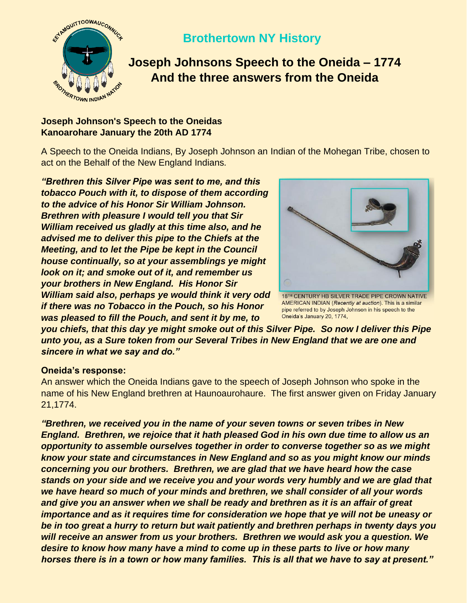

## **Brothertown NY History**

## **Joseph Johnsons Speech to the Oneida – 1774 And the three answers from the Oneida**

## **Joseph Johnson's Speech to the Oneidas Kanoarohare January the 20th AD 1774**

A Speech to the Oneida Indians, By Joseph Johnson an Indian of the Mohegan Tribe, chosen to act on the Behalf of the New England Indians*.*

*"Brethren this Silver Pipe was sent to me, and this tobacco Pouch with it, to dispose of them according to the advice of his Honor Sir William Johnson. Brethren with pleasure I would tell you that Sir William received us gladly at this time also, and he advised me to deliver this pipe to the Chiefs at the Meeting, and to let the Pipe be kept in the Council house continually, so at your assemblings ye might look on it; and smoke out of it, and remember us your brothers in New England. His Honor Sir William said also, perhaps ye would think it very odd if there was no Tobacco in the Pouch, so his Honor was pleased to fill the Pouch, and sent it by me, to* 



18TH CENTURY HB SILVER TRADE PIPE CROWN NATIVE AMERICAN INDIAN (Recently at auction). This is a similar pipe referred to by Joseph Johnson in his speech to the Oneida's January 20, 1774,

*you chiefs, that this day ye might smoke out of this Silver Pipe. So now I deliver this Pipe unto you, as a Sure token from our Several Tribes in New England that we are one and sincere in what we say and do."*

## **Oneida's response:**

An answer which the Oneida Indians gave to the speech of Joseph Johnson who spoke in the name of his New England brethren at Haunoaurohaure. The first answer given on Friday January 21,1774.

*"Brethren, we received you in the name of your seven towns or seven tribes in New England. Brethren, we rejoice that it hath pleased God in his own due time to allow us an opportunity to assemble ourselves together in order to converse together so as we might know your state and circumstances in New England and so as you might know our minds concerning you our brothers. Brethren, we are glad that we have heard how the case stands on your side and we receive you and your words very humbly and we are glad that we have heard so much of your minds and brethren, we shall consider of all your words and give you an answer when we shall be ready and brethren as it is an affair of great importance and as it requires time for consideration we hope that ye will not be uneasy or be in too great a hurry to return but wait patiently and brethren perhaps in twenty days you will receive an answer from us your brothers. Brethren we would ask you a question. We desire to know how many have a mind to come up in these parts to live or how many horses there is in a town or how many families. This is all that we have to say at present."*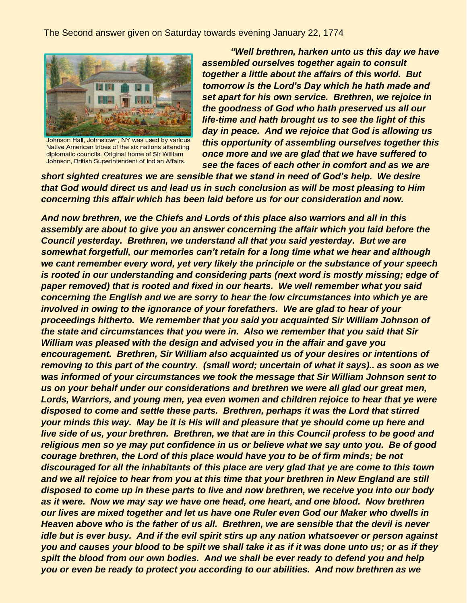The Second answer given on Saturday towards evening January 22, 1774



Johnson Hall, Johnstown, NY was used by various Native American tribes of the six nations attending diplomatic councils. Original home of Sir William Johnson, British Superintendent of Indian Affairs.

 *"Well brethren, harken unto us this day we have assembled ourselves together again to consult together a little about the affairs of this world. But tomorrow is the Lord's Day which he hath made and set apart for his own service. Brethren, we rejoice in the goodness of God who hath preserved us all our life-time and hath brought us to see the light of this day in peace. And we rejoice that God is allowing us this opportunity of assembling ourselves together this once more and we are glad that we have suffered to see the faces of each other in comfort and as we are* 

*short sighted creatures we are sensible that we stand in need of God's help. We desire that God would direct us and lead us in such conclusion as will be most pleasing to Him concerning this affair which has been laid before us for our consideration and now.*

*And now brethren, we the Chiefs and Lords of this place also warriors and all in this assembly are about to give you an answer concerning the affair which you laid before the Council yesterday. Brethren, we understand all that you said yesterday. But we are somewhat forgetfull, our memories can't retain for a long time what we hear and although we cant remember every word, yet very likely the principle or the substance of your speech is rooted in our understanding and considering parts (next word is mostly missing; edge of paper removed) that is rooted and fixed in our hearts. We well remember what you said concerning the English and we are sorry to hear the low circumstances into which ye are involved in owing to the ignorance of your forefathers. We are glad to hear of your proceedings hitherto. We remember that you said you acquainted Sir William Johnson of the state and circumstances that you were in. Also we remember that you said that Sir William was pleased with the design and advised you in the affair and gave you encouragement. Brethren, Sir William also acquainted us of your desires or intentions of removing to this part of the country. (small word; uncertain of what it says).. as soon as we was informed of your circumstances we took the message that Sir William Johnson sent to us on your behalf under our considerations and brethren we were all glad our great men, Lords, Warriors, and young men, yea even women and children rejoice to hear that ye were disposed to come and settle these parts. Brethren, perhaps it was the Lord that stirred your minds this way. May be it is His will and pleasure that ye should come up here and live side of us, your brethren. Brethren, we that are in this Council profess to be good and religious men so ye may put confidence in us or believe what we say unto you. Be of good courage brethren, the Lord of this place would have you to be of firm minds; be not discouraged for all the inhabitants of this place are very glad that ye are come to this town and we all rejoice to hear from you at this time that your brethren in New England are still disposed to come up in these parts to live and now brethren, we receive you into our body as it were. Now we may say we have one head, one heart, and one blood. Now brethren our lives are mixed together and let us have one Ruler even God our Maker who dwells in Heaven above who is the father of us all. Brethren, we are sensible that the devil is never idle but is ever busy. And if the evil spirit stirs up any nation whatsoever or person against you and causes your blood to be spilt we shall take it as if it was done unto us; or as if they spilt the blood from our own bodies. And we shall be ever ready to defend you and help you or even be ready to protect you according to our abilities. And now brethren as we*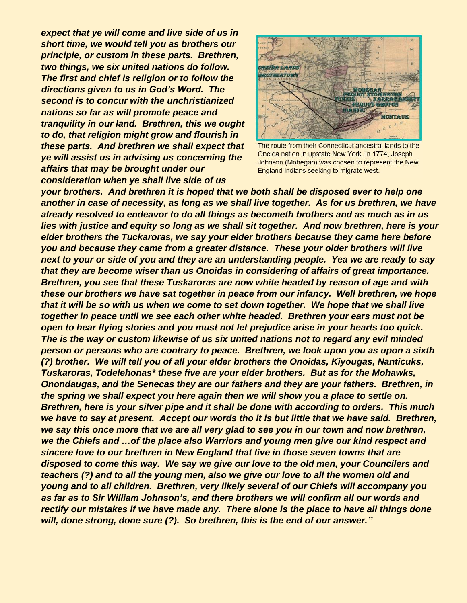*expect that ye will come and live side of us in short time, we would tell you as brothers our principle, or custom in these parts. Brethren, two things, we six united nations do follow. The first and chief is religion or to follow the directions given to us in God's Word. The second is to concur with the unchristianized nations so far as will promote peace and tranquility in our land. Brethren, this we ought to do, that religion might grow and flourish in these parts. And brethren we shall expect that ye will assist us in advising us concerning the affairs that may be brought under our consideration when ye shall live side of us* 



The route from their Connecticut ancestral lands to the Oneida nation in upstate New York. In 1774, Joseph Johnson (Mohegan) was chosen to represent the New England Indians seeking to migrate west.

*your brothers. And brethren it is hoped that we both shall be disposed ever to help one another in case of necessity, as long as we shall live together. As for us brethren, we have already resolved to endeavor to do all things as becometh brothers and as much as in us lies with justice and equity so long as we shall sit together. And now brethren, here is your elder brothers the Tuckaroras, we say your elder brothers because they came here before you and because they came from a greater distance. These your older brothers will live next to your or side of you and they are an understanding people. Yea we are ready to say that they are become wiser than us Onoidas in considering of affairs of great importance. Brethren, you see that these Tuskaroras are now white headed by reason of age and with these our brothers we have sat together in peace from our infancy. Well brethren, we hope that it will be so with us when we come to set down together. We hope that we shall live together in peace until we see each other white headed. Brethren your ears must not be open to hear flying stories and you must not let prejudice arise in your hearts too quick. The is the way or custom likewise of us six united nations not to regard any evil minded person or persons who are contrary to peace. Brethren, we look upon you as upon a sixth (?) brother. We will tell you of all your elder brothers the Onoidas, Kiyougas, Nanticuks, Tuskaroras, Todelehonas\* these five are your elder brothers. But as for the Mohawks, Onondaugas, and the Senecas they are our fathers and they are your fathers. Brethren, in the spring we shall expect you here again then we will show you a place to settle on. Brethren, here is your silver pipe and it shall be done with according to orders. This much we have to say at present. Accept our words tho it is but little that we have said. Brethren, we say this once more that we are all very glad to see you in our town and now brethren, we the Chiefs and …of the place also Warriors and young men give our kind respect and sincere love to our brethren in New England that live in those seven towns that are disposed to come this way. We say we give our love to the old men, your Councilers and teachers (?) and to all the young men, also we give our love to all the women old and young and to all children. Brethren, very likely several of our Chiefs will accompany you as far as to Sir William Johnson's, and there brothers we will confirm all our words and rectify our mistakes if we have made any. There alone is the place to have all things done will, done strong, done sure (?). So brethren, this is the end of our answer."*